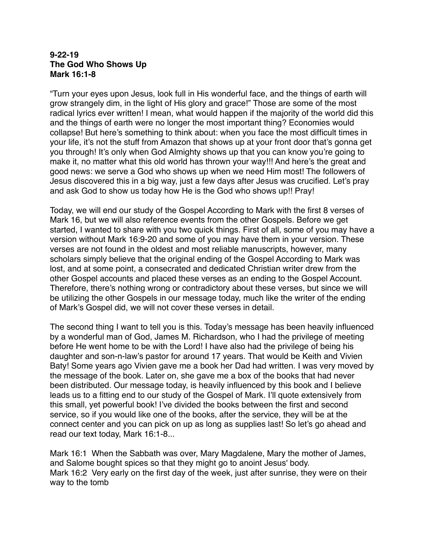#### **9-22-19 The God Who Shows Up Mark 16:1-8**

"Turn your eyes upon Jesus, look full in His wonderful face, and the things of earth will grow strangely dim, in the light of His glory and grace!" Those are some of the most radical lyrics ever written! I mean, what would happen if the majority of the world did this and the things of earth were no longer the most important thing? Economies would collapse! But here's something to think about: when you face the most difficult times in your life, it's not the stuff from Amazon that shows up at your front door that's gonna get you through! It's only when God Almighty shows up that you can know you're going to make it, no matter what this old world has thrown your way!!! And here's the great and good news: we serve a God who shows up when we need Him most! The followers of Jesus discovered this in a big way, just a few days after Jesus was crucified. Let's pray and ask God to show us today how He is the God who shows up!! Pray!

Today, we will end our study of the Gospel According to Mark with the first 8 verses of Mark 16, but we will also reference events from the other Gospels. Before we get started, I wanted to share with you two quick things. First of all, some of you may have a version without Mark 16:9-20 and some of you may have them in your version. These verses are not found in the oldest and most reliable manuscripts, however, many scholars simply believe that the original ending of the Gospel According to Mark was lost, and at some point, a consecrated and dedicated Christian writer drew from the other Gospel accounts and placed these verses as an ending to the Gospel Account. Therefore, there's nothing wrong or contradictory about these verses, but since we will be utilizing the other Gospels in our message today, much like the writer of the ending of Mark's Gospel did, we will not cover these verses in detail.

The second thing I want to tell you is this. Today's message has been heavily influenced by a wonderful man of God, James M. Richardson, who I had the privilege of meeting before He went home to be with the Lord! I have also had the privilege of being his daughter and son-n-law's pastor for around 17 years. That would be Keith and Vivien Baty! Some years ago Vivien gave me a book her Dad had written. I was very moved by the message of the book. Later on, she gave me a box of the books that had never been distributed. Our message today, is heavily influenced by this book and I believe leads us to a fitting end to our study of the Gospel of Mark. I'll quote extensively from this small, yet powerful book! I've divided the books between the first and second service, so if you would like one of the books, after the service, they will be at the connect center and you can pick on up as long as supplies last! So let's go ahead and read our text today, Mark 16:1-8...

Mark 16:1 When the Sabbath was over, Mary Magdalene, Mary the mother of James, and Salome bought spices so that they might go to anoint Jesus' body. Mark 16:2 Very early on the first day of the week, just after sunrise, they were on their way to the tomb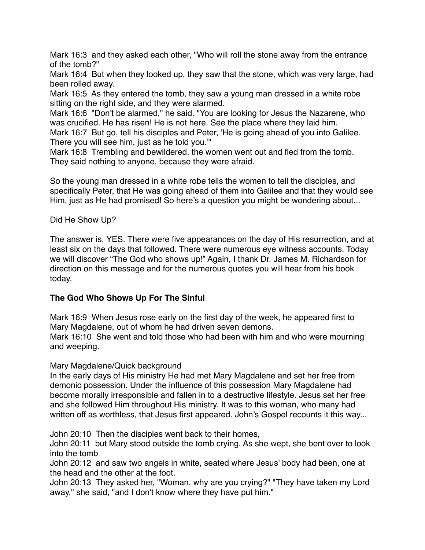Mark 16:3 and they asked each other, "Who will roll the stone away from the entrance of the tomb?"

Mark 16:4 But when they looked up, they saw that the stone, which was very large, had been rolled away.

Mark 16:5 As they entered the tomb, they saw a young man dressed in a white robe sitting on the right side, and they were alarmed.

Mark 16:6 "Don't be alarmed," he said. "You are looking for Jesus the Nazarene, who was crucified. He has risen! He is not here. See the place where they laid him.

Mark 16:7 But go, tell his disciples and Peter, 'He is going ahead of you into Galilee. There you will see him, just as he told you.'"

Mark 16:8 Trembling and bewildered, the women went out and fled from the tomb. They said nothing to anyone, because they were afraid.

So the young man dressed in a white robe tells the women to tell the disciples, and specifically Peter, that He was going ahead of them into Galilee and that they would see Him, just as He had promised! So here's a question you might be wondering about...

Did He Show Up?

The answer is, YES. There were five appearances on the day of His resurrection, and at least six on the days that followed. There were numerous eye witness accounts. Today we will discover "The God who shows up!" Again, I thank Dr. James M. Richardson for direction on this message and for the numerous quotes you will hear from his book today.

### **The God Who Shows Up For The Sinful**

Mark 16:9 When Jesus rose early on the first day of the week, he appeared first to Mary Magdalene, out of whom he had driven seven demons.

Mark 16:10 She went and told those who had been with him and who were mourning and weeping.

### Mary Magdalene/Quick background

In the early days of His ministry He had met Mary Magdalene and set her free from demonic possession. Under the influence of this possession Mary Magdalene had become morally irresponsible and fallen in to a destructive lifestyle. Jesus set her free and she followed Him throughout His ministry. It was to this woman, who many had written off as worthless, that Jesus first appeared. John's Gospel recounts it this way...

John 20:10 Then the disciples went back to their homes,

John 20:11 but Mary stood outside the tomb crying. As she wept, she bent over to look into the tomb

John 20:12 and saw two angels in white, seated where Jesus' body had been, one at the head and the other at the foot.

John 20:13 They asked her, "Woman, why are you crying?" "They have taken my Lord away," she said, "and I don't know where they have put him."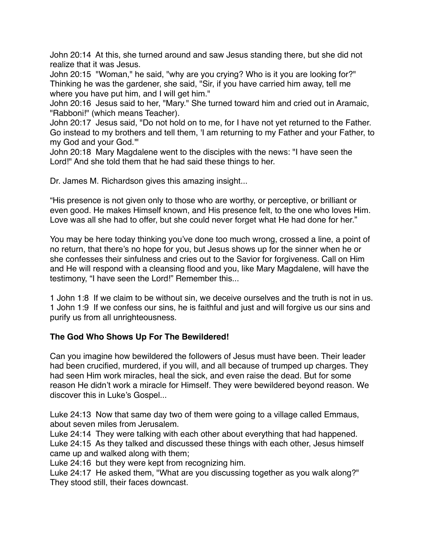John 20:14 At this, she turned around and saw Jesus standing there, but she did not realize that it was Jesus.

John 20:15 "Woman," he said, "why are you crying? Who is it you are looking for?" Thinking he was the gardener, she said, "Sir, if you have carried him away, tell me where you have put him, and I will get him."

John 20:16 Jesus said to her, "Mary." She turned toward him and cried out in Aramaic, "Rabboni!" (which means Teacher).

John 20:17 Jesus said, "Do not hold on to me, for I have not yet returned to the Father. Go instead to my brothers and tell them, 'I am returning to my Father and your Father, to my God and your God.'"

John 20:18 Mary Magdalene went to the disciples with the news: "I have seen the Lord!" And she told them that he had said these things to her.

Dr. James M. Richardson gives this amazing insight...

"His presence is not given only to those who are worthy, or perceptive, or brilliant or even good. He makes Himself known, and His presence felt, to the one who loves Him. Love was all she had to offer, but she could never forget what He had done for her."

You may be here today thinking you've done too much wrong, crossed a line, a point of no return, that there's no hope for you, but Jesus shows up for the sinner when he or she confesses their sinfulness and cries out to the Savior for forgiveness. Call on Him and He will respond with a cleansing flood and you, like Mary Magdalene, will have the testimony, "I have seen the Lord!" Remember this...

1 John 1:8 If we claim to be without sin, we deceive ourselves and the truth is not in us. 1 John 1:9 If we confess our sins, he is faithful and just and will forgive us our sins and purify us from all unrighteousness.

## **The God Who Shows Up For The Bewildered!**

Can you imagine how bewildered the followers of Jesus must have been. Their leader had been crucified, murdered, if you will, and all because of trumped up charges. They had seen Him work miracles, heal the sick, and even raise the dead. But for some reason He didn't work a miracle for Himself. They were bewildered beyond reason. We discover this in Luke's Gospel...

Luke 24:13 Now that same day two of them were going to a village called Emmaus, about seven miles from Jerusalem.

Luke 24:14 They were talking with each other about everything that had happened. Luke 24:15 As they talked and discussed these things with each other, Jesus himself came up and walked along with them;

Luke 24:16 but they were kept from recognizing him.

Luke 24:17 He asked them, "What are you discussing together as you walk along?" They stood still, their faces downcast.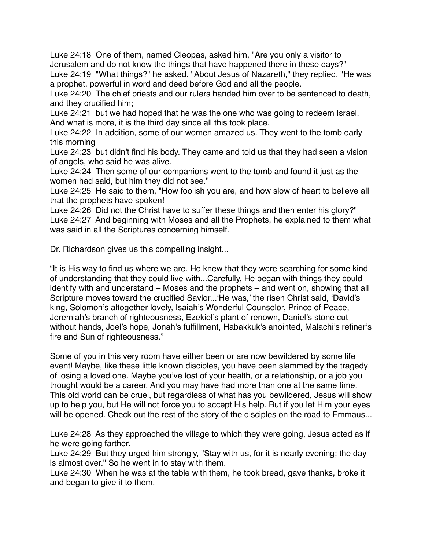Luke 24:18 One of them, named Cleopas, asked him, "Are you only a visitor to Jerusalem and do not know the things that have happened there in these days?" Luke 24:19 "What things?" he asked. "About Jesus of Nazareth," they replied. "He was a prophet, powerful in word and deed before God and all the people.

Luke 24:20 The chief priests and our rulers handed him over to be sentenced to death, and they crucified him;

Luke 24:21 but we had hoped that he was the one who was going to redeem Israel. And what is more, it is the third day since all this took place.

Luke 24:22 In addition, some of our women amazed us. They went to the tomb early this morning

Luke 24:23 but didn't find his body. They came and told us that they had seen a vision of angels, who said he was alive.

Luke 24:24 Then some of our companions went to the tomb and found it just as the women had said, but him they did not see."

Luke 24:25 He said to them, "How foolish you are, and how slow of heart to believe all that the prophets have spoken!

Luke 24:26 Did not the Christ have to suffer these things and then enter his glory?" Luke 24:27 And beginning with Moses and all the Prophets, he explained to them what was said in all the Scriptures concerning himself.

Dr. Richardson gives us this compelling insight...

"It is His way to find us where we are. He knew that they were searching for some kind of understanding that they could live with...Carefully, He began with things they could identify with and understand – Moses and the prophets – and went on, showing that all Scripture moves toward the crucified Savior...'He was,' the risen Christ said, 'David's king, Solomon's altogether lovely, Isaiah's Wonderful Counselor, Prince of Peace, Jeremiah's branch of righteousness, Ezekiel's plant of renown, Daniel's stone cut without hands, Joel's hope, Jonah's fulfillment, Habakkuk's anointed, Malachi's refiner's fire and Sun of righteousness."

Some of you in this very room have either been or are now bewildered by some life event! Maybe, like these little known disciples, you have been slammed by the tragedy of losing a loved one. Maybe you've lost of your health, or a relationship, or a job you thought would be a career. And you may have had more than one at the same time. This old world can be cruel, but regardless of what has you bewildered, Jesus will show up to help you, but He will not force you to accept His help. But if you let Him your eyes will be opened. Check out the rest of the story of the disciples on the road to Emmaus...

Luke 24:28 As they approached the village to which they were going, Jesus acted as if he were going farther.

Luke 24:29 But they urged him strongly, "Stay with us, for it is nearly evening; the day is almost over." So he went in to stay with them.

Luke 24:30 When he was at the table with them, he took bread, gave thanks, broke it and began to give it to them.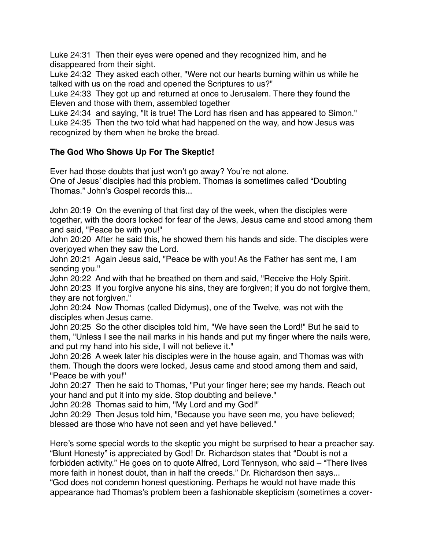Luke 24:31 Then their eyes were opened and they recognized him, and he disappeared from their sight.

Luke 24:32 They asked each other, "Were not our hearts burning within us while he talked with us on the road and opened the Scriptures to us?"

Luke 24:33 They got up and returned at once to Jerusalem. There they found the Eleven and those with them, assembled together

Luke 24:34 and saying, "It is true! The Lord has risen and has appeared to Simon." Luke 24:35 Then the two told what had happened on the way, and how Jesus was recognized by them when he broke the bread.

# **The God Who Shows Up For The Skeptic!**

Ever had those doubts that just won't go away? You're not alone. One of Jesus' disciples had this problem. Thomas is sometimes called "Doubting Thomas." John's Gospel records this...

John 20:19 On the evening of that first day of the week, when the disciples were together, with the doors locked for fear of the Jews, Jesus came and stood among them and said, "Peace be with you!"

John 20:20 After he said this, he showed them his hands and side. The disciples were overjoyed when they saw the Lord.

John 20:21 Again Jesus said, "Peace be with you! As the Father has sent me, I am sending you."

John 20:22 And with that he breathed on them and said, "Receive the Holy Spirit. John 20:23 If you forgive anyone his sins, they are forgiven; if you do not forgive them, they are not forgiven."

John 20:24 Now Thomas (called Didymus), one of the Twelve, was not with the disciples when Jesus came.

John 20:25 So the other disciples told him, "We have seen the Lord!" But he said to them, "Unless I see the nail marks in his hands and put my finger where the nails were, and put my hand into his side, I will not believe it."

John 20:26 A week later his disciples were in the house again, and Thomas was with them. Though the doors were locked, Jesus came and stood among them and said, "Peace be with you!"

John 20:27 Then he said to Thomas, "Put your finger here; see my hands. Reach out your hand and put it into my side. Stop doubting and believe."

John 20:28 Thomas said to him, "My Lord and my God!"

John 20:29 Then Jesus told him, "Because you have seen me, you have believed; blessed are those who have not seen and yet have believed."

Here's some special words to the skeptic you might be surprised to hear a preacher say. "Blunt Honesty" is appreciated by God! Dr. Richardson states that "Doubt is not a forbidden activity." He goes on to quote Alfred, Lord Tennyson, who said – "There lives more faith in honest doubt, than in half the creeds." Dr. Richardson then says... "God does not condemn honest questioning. Perhaps he would not have made this appearance had Thomas's problem been a fashionable skepticism (sometimes a cover-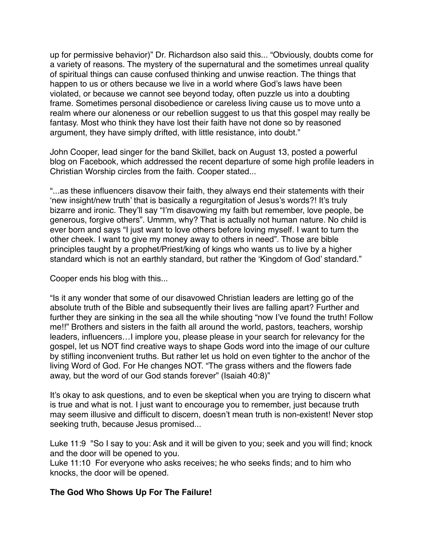up for permissive behavior)" Dr. Richardson also said this... "Obviously, doubts come for a variety of reasons. The mystery of the supernatural and the sometimes unreal quality of spiritual things can cause confused thinking and unwise reaction. The things that happen to us or others because we live in a world where God's laws have been violated, or because we cannot see beyond today, often puzzle us into a doubting frame. Sometimes personal disobedience or careless living cause us to move unto a realm where our aloneness or our rebellion suggest to us that this gospel may really be fantasy. Most who think they have lost their faith have not done so by reasoned argument, they have simply drifted, with little resistance, into doubt."

John Cooper, lead singer for the band Skillet, back on August 13, posted a powerful blog on Facebook, which addressed the recent departure of some high profile leaders in Christian Worship circles from the faith. Cooper stated...

"...as these influencers disavow their faith, they always end their statements with their 'new insight/new truth' that is basically a regurgitation of Jesus's words?! It's truly bizarre and ironic. They'll say "I'm disavowing my faith but remember, love people, be generous, forgive others". Ummm, why? That is actually not human nature. No child is ever born and says "I just want to love others before loving myself. I want to turn the other cheek. I want to give my money away to others in need". Those are bible principles taught by a prophet/Priest/king of kings who wants us to live by a higher standard which is not an earthly standard, but rather the 'Kingdom of God' standard."

Cooper ends his blog with this...

"Is it any wonder that some of our disavowed Christian leaders are letting go of the absolute truth of the Bible and subsequently their lives are falling apart? Further and further they are sinking in the sea all the while shouting "now I've found the truth! Follow me!!" Brothers and sisters in the faith all around the world, pastors, teachers, worship leaders, influencers…I implore you, please please in your search for relevancy for the gospel, let us NOT find creative ways to shape Gods word into the image of our culture by stifling inconvenient truths. But rather let us hold on even tighter to the anchor of the living Word of God. For He changes NOT. "The grass withers and the flowers fade away, but the word of our God stands forever" (Isaiah 40:8)"

It's okay to ask questions, and to even be skeptical when you are trying to discern what is true and what is not. I just want to encourage you to remember, just because truth may seem illusive and difficult to discern, doesn't mean truth is non-existent! Never stop seeking truth, because Jesus promised...

Luke 11:9 "So I say to you: Ask and it will be given to you; seek and you will find; knock and the door will be opened to you.

Luke 11:10 For everyone who asks receives; he who seeks finds; and to him who knocks, the door will be opened.

## **The God Who Shows Up For The Failure!**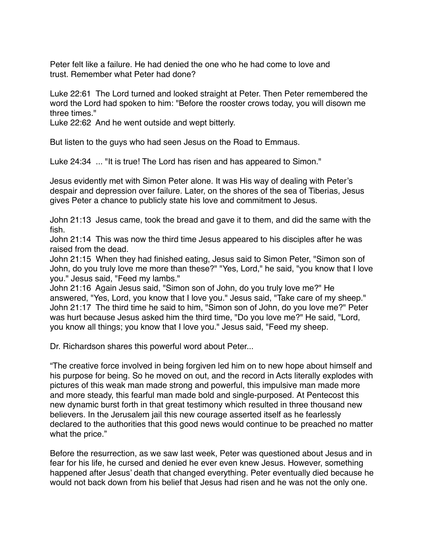Peter felt like a failure. He had denied the one who he had come to love and trust. Remember what Peter had done?

Luke 22:61 The Lord turned and looked straight at Peter. Then Peter remembered the word the Lord had spoken to him: "Before the rooster crows today, you will disown me three times."

Luke 22:62 And he went outside and wept bitterly.

But listen to the guys who had seen Jesus on the Road to Emmaus.

Luke 24:34 ... "It is true! The Lord has risen and has appeared to Simon."

Jesus evidently met with Simon Peter alone. It was His way of dealing with Peter's despair and depression over failure. Later, on the shores of the sea of Tiberias, Jesus gives Peter a chance to publicly state his love and commitment to Jesus.

John 21:13 Jesus came, took the bread and gave it to them, and did the same with the fish.

John 21:14 This was now the third time Jesus appeared to his disciples after he was raised from the dead.

John 21:15 When they had finished eating, Jesus said to Simon Peter, "Simon son of John, do you truly love me more than these?" "Yes, Lord," he said, "you know that I love you." Jesus said, "Feed my lambs."

John 21:16 Again Jesus said, "Simon son of John, do you truly love me?" He answered, "Yes, Lord, you know that I love you." Jesus said, "Take care of my sheep." John 21:17 The third time he said to him, "Simon son of John, do you love me?" Peter was hurt because Jesus asked him the third time, "Do you love me?" He said, "Lord, you know all things; you know that I love you." Jesus said, "Feed my sheep.

Dr. Richardson shares this powerful word about Peter...

"The creative force involved in being forgiven led him on to new hope about himself and his purpose for being. So he moved on out, and the record in Acts literally explodes with pictures of this weak man made strong and powerful, this impulsive man made more and more steady, this fearful man made bold and single-purposed. At Pentecost this new dynamic burst forth in that great testimony which resulted in three thousand new believers. In the Jerusalem jail this new courage asserted itself as he fearlessly declared to the authorities that this good news would continue to be preached no matter what the price."

Before the resurrection, as we saw last week, Peter was questioned about Jesus and in fear for his life, he cursed and denied he ever even knew Jesus. However, something happened after Jesus' death that changed everything. Peter eventually died because he would not back down from his belief that Jesus had risen and he was not the only one.